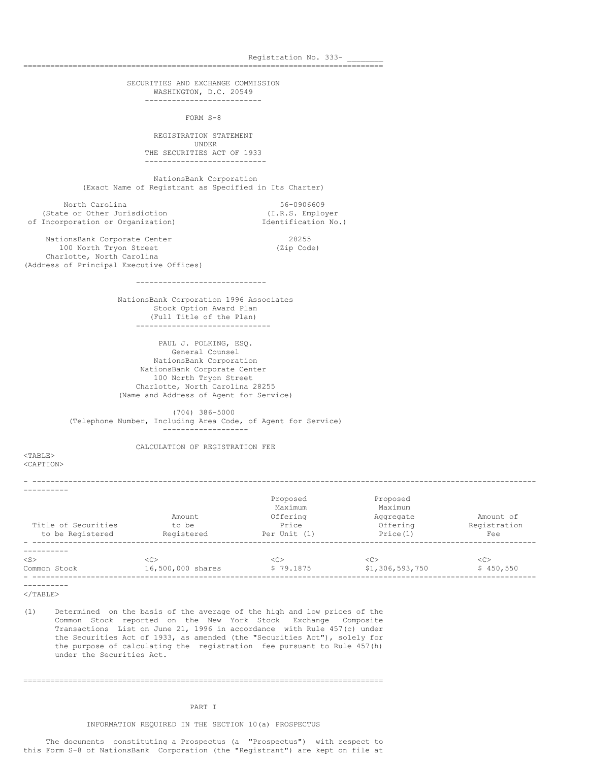Registration No. 333-================================================================================ SECURITIES AND EXCHANGE COMMISSION WASHINGTON, D.C. 20549 -------------------------- FORM S-8 REGISTRATION STATEMENT UNDER THE SECURITIES ACT OF 1933 --------------------------- NationsBank Corporation (Exact Name of Registrant as Specified in Its Charter) North Carolina 56-0906609<br>
E or Other Jurisdiction (I.R.S. Employer (State or Other Jurisdiction (I.R.S. Employer (I.R.S. Employer )<br>Incorporation or Organization) (Identification No.) of Incorporation or Organization) NationsBank Corporate Center 28255 100 North Tryon Street (Zip Code) Charlotte, North Carolina (Address of Principal Executive Offices) ----------------------------- NationsBank Corporation 1996 Associates Stock Option Award Plan (Full Title of the Plan) ------------------------------ PAUL J. POLKING, ESQ. General Counsel NationsBank Corporation NationsBank Corporate Center 100 North Tryon Street Charlotte, North Carolina 28255 (Name and Address of Agent for Service) (704) 386-5000 (Telephone Number, Including Area Code, of Agent for Service) ------------------- CALCULATION OF REGISTRATION FEE <TABLE> <CAPTION> - ---------------------------------------------------------------------------------------------------------------- ---------- Proposed Proposed Maximum Maximum<br>Offering Maximum Aggregate Amount Offering Aggregate Amount of<br>
to be Price Offering Registration<br>
Peristered Price (1) Title of Securities The South Company of to be the Price Construction of fering Registration to be Registered Registered Per Unit (1) Price(1) Fee - ---------------------------------------------------------------------------------------------------------------- ---------- <S> <C> <C> <C> <C>

Common Stock 16,500,000 shares \$ 79.1875 \$1,306,593,750 \$ 450,550

- ----------------------------------------------------------------------------------------------------------------

----------  $<$ /TABLE>

(1) Determined on the basis of the average of the high and low prices of the Common Stock reported on the New York Stock Exchange Composite Transactions List on June 21, 1996 in accordance with Rule 457(c) under the Securities Act of 1933, as amended (the "Securities Act"), solely for the purpose of calculating the registration fee pursuant to Rule 457(h) under the Securities Act.

#### PART I

================================================================================

INFORMATION REQUIRED IN THE SECTION 10(a) PROSPECTUS

The documents constituting a Prospectus (a "Prospectus") with respect to this Form S-8 of NationsBank Corporation (the "Registrant") are kept on file at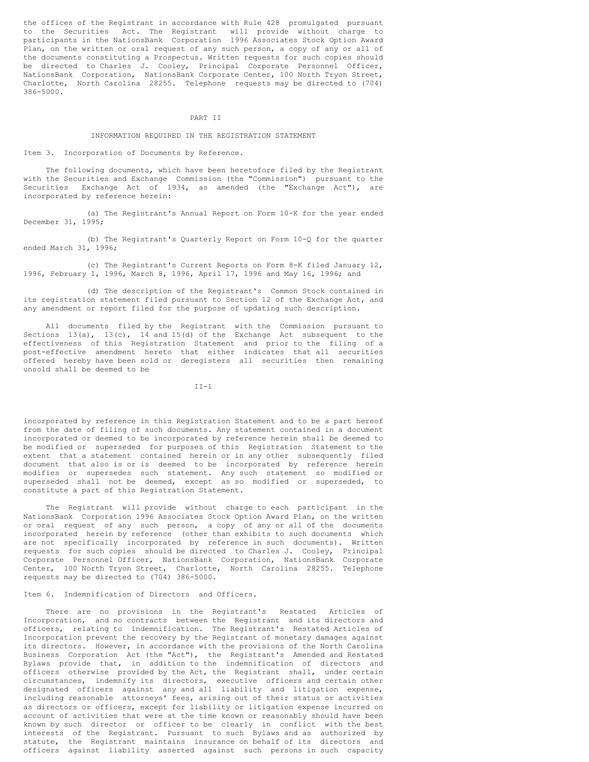the offices of the Registrant in accordance with Rule 428 promulgated pursuant to the Securities Act. The Registrant will provide without charge to participants in the NationsBank Corporation 1996 Associates Stock Option Award Plan, on the written or oral request of any such person, a copy of any or all of the documents constituting a Prospectus. Written requests for such copies should be directed to Charles J. Cooley, Principal Corporate Personnel Officer, NationsBank Corporation, NationsBank Corporate Center, 100 North Tryon Street, Charlotte, North Carolina 28255. Telephone requests may be directed to (704) 386-5000.

#### PART II

#### INFORMATION REQUIRED IN THE REGISTRATION STATEMENT

Item 3. Incorporation of Documents by Reference.

The following documents, which have been heretofore filed by the Registrant with the Securities and Exchange Commission (the "Commission") pursuant to the Securities Exchange Act of 1934, as amended (the "Exchange Act"), are incorporated by reference herein:

(a) The Registrant's Annual Report on Form 10-K for the year ended December 31, 1995;

(b) The Registrant's Quarterly Report on Form 10-Q for the quarter ended March 31, 1996;

(c) The Registrant's Current Reports on Form 8-K filed January 12, 1996, February 1, 1996, March 8, 1996, April 17, 1996 and May 16, 1996; and

(d) The description of the Registrant's Common Stock contained in its registration statement filed pursuant to Section 12 of the Exchange Act, and any amendment or report filed for the purpose of updating such description.

All documents filed by the Registrant with the Commission pursuant to Sections  $13(a)$ ,  $13(c)$ ,  $14$  and  $15(d)$  of the Exchange Act subsequent to the effectiveness of this Registration Statement and prior to the filing of a post-effective amendment hereto that either indicates that all securities offered hereby have been sold or deregisters all securities then remaining unsold shall be deemed to be

 $TT-1$ 

incorporated by reference in this Registration Statement and to be a part hereof from the date of filing of such documents. Any statement contained in a document incorporated or deemed to be incorporated by reference herein shall be deemed to be modified or superseded for purposes of this Registration Statement to the extent that a statement contained herein or in any other subsequently filed document that also is or is deemed to be incorporated by reference herein modifies or supersedes such statement. Any such statement so modified or superseded shall not be deemed, except as so modified or superseded, to constitute a part of this Registration Statement.

The Registrant will provide without charge to each participant in the NationsBank Corporation 1996 Associates Stock Option Award Plan, on the written or oral request of any such person, a copy of any or all of the documents incorporated herein by reference (other than exhibits to such documents which are not specifically incorporated by reference in such documents). Written requests for such copies should be directed to Charles J. Cooley, Principal Corporate Personnel Officer, NationsBank Corporation, NationsBank Corporate Center, 100 North Tryon Street, Charlotte, North Carolina 28255. Telephone requests may be directed to (704) 386-5000.

Item 6. Indemnification of Directors and Officers.

There are no provisions in the Registrant's Restated Articles of Incorporation, and no contracts between the Registrant and its directors and officers, relating to indemnification. The Registrant's Restated Articles of Incorporation prevent the recovery by the Registrant of monetary damages against its directors. However, in accordance with the provisions of the North Carolina Business Corporation Act (the "Act"), the Registrant's Amended and Restated Bylaws provide that, in addition to the indemnification of directors and officers otherwise provided by the Act, the Registrant shall, under certain circumstances, indemnify its directors, executive officers and certain other designated officers against any and all liability and litigation expense, including reasonable attorneys' fees, arising out of their status or activities as directors or officers, except for liability or litigation expense incurred on account of activities that were at the time known or reasonably should have been known by such director or officer to be clearly in conflict with the best interests of the Registrant. Pursuant to such Bylaws and as authorized by statute, the Registrant maintains insurance on behalf of its directors and officers against liability asserted against such persons in such capacity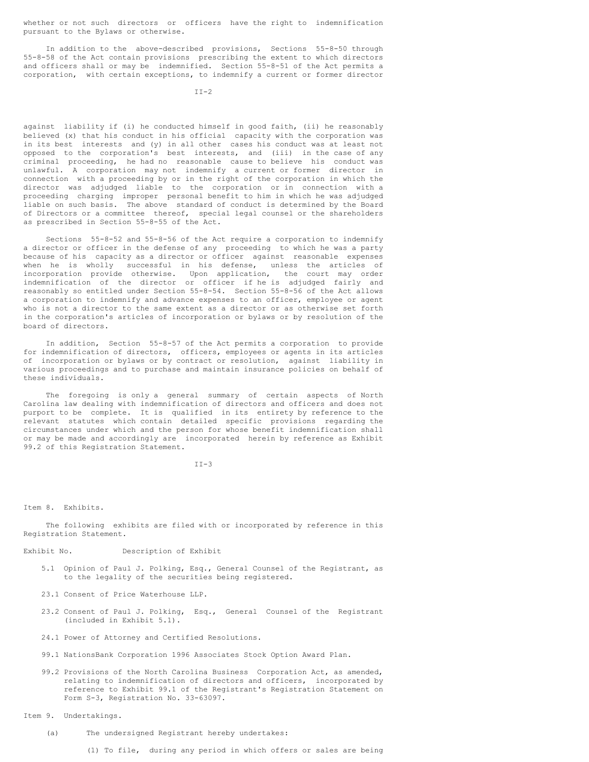whether or not such directors or officers have the right to indemnification pursuant to the Bylaws or otherwise.

In addition to the above-described provisions, Sections 55-8-50 through 55-8-58 of the Act contain provisions prescribing the extent to which directors and officers shall or may be indemnified. Section 55-8-51 of the Act permits a corporation, with certain exceptions, to indemnify a current or former director

against liability if (i) he conducted himself in good faith, (ii) he reasonably believed (x) that his conduct in his official capacity with the corporation was in its best interests and (y) in all other cases his conduct was at least not opposed to the corporation's best interests, and (iii) in the case of any criminal proceeding, he had no reasonable cause to believe his conduct was unlawful. A corporation may not indemnify a current or former director in connection with a proceeding by or in the right of the corporation in which the director was adjudged liable to the corporation or in connection with a proceeding charging improper personal benefit to him in which he was adjudged liable on such basis. The above standard of conduct is determined by the Board of Directors or a committee thereof, special legal counsel or the shareholders as prescribed in Section 55-8-55 of the Act.

Sections 55-8-52 and 55-8-56 of the Act require a corporation to indemnify a director or officer in the defense of any proceeding to which he was a party because of his capacity as a director or officer against reasonable expenses when he is wholly successful in his defense, unless the articles of incorporation provide otherwise. Upon application, the court may order indemnification of the director or officer if he is adjudged fairly and reasonably so entitled under Section 55-8-54. Section 55-8-56 of the Act allows a corporation to indemnify and advance expenses to an officer, employee or agent who is not a director to the same extent as a director or as otherwise set forth in the corporation's articles of incorporation or bylaws or by resolution of the board of directors.

In addition, Section 55-8-57 of the Act permits a corporation to provide for indemnification of directors, officers, employees or agents in its articles of incorporation or bylaws or by contract or resolution, against liability in various proceedings and to purchase and maintain insurance policies on behalf of these individuals.

The foregoing is only a general summary of certain aspects of North Carolina law dealing with indemnification of directors and officers and does not purport to be complete. It is qualified in its entirety by reference to the relevant statutes which contain detailed specific provisions regarding the circumstances under which and the person for whose benefit indemnification shall or may be made and accordingly are incorporated herein by reference as Exhibit 99.2 of this Registration Statement.

 $TT-3$ 

### Item 8. Exhibits.

The following exhibits are filed with or incorporated by reference in this Registration Statement.

## Exhibit No. Description of Exhibit

- 5.1 Opinion of Paul J. Polking, Esq., General Counsel of the Registrant, as to the legality of the securities being registered.
- 23.1 Consent of Price Waterhouse LLP.
- 23.2 Consent of Paul J. Polking, Esq., General Counsel of the Registrant (included in Exhibit 5.1).
- 24.1 Power of Attorney and Certified Resolutions.
- 99.1 NationsBank Corporation 1996 Associates Stock Option Award Plan.
- 99.2 Provisions of the North Carolina Business Corporation Act, as amended, relating to indemnification of directors and officers, incorporated by reference to Exhibit 99.1 of the Registrant's Registration Statement on Form S-3, Registration No. 33-63097.

## Item 9. Undertakings.

- (a) The undersigned Registrant hereby undertakes:
	- (1) To file, during any period in which offers or sales are being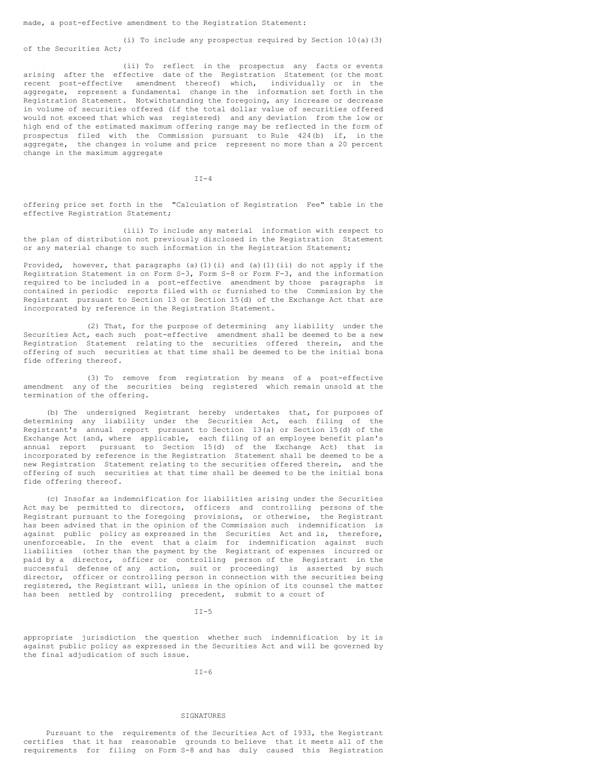(i) To include any prospectus required by Section 10(a)(3) of the Securities Act;

(ii) To reflect in the prospectus any facts or events arising after the effective date of the Registration Statement (or the most recent post-effective amendment thereof) which, individually or in the aggregate, represent a fundamental change in the information set forth in the Registration Statement. Notwithstanding the foregoing, any increase or decrease in volume of securities offered (if the total dollar value of securities offered would not exceed that which was registered) and any deviation from the low or high end of the estimated maximum offering range may be reflected in the form of prospectus filed with the Commission pursuant to Rule 424(b) if, in the aggregate, the changes in volume and price represent no more than a 20 percent change in the maximum aggregate

 $TT-4$ 

offering price set forth in the "Calculation of Registration Fee" table in the effective Registration Statement;

(iii) To include any material information with respect to the plan of distribution not previously disclosed in the Registration Statement or any material change to such information in the Registration Statement;

Provided, however, that paragraphs (a)(1)(i) and (a)(1)(ii) do not apply if the Registration Statement is on Form S-3, Form S-8 or Form F-3, and the information required to be included in a post-effective amendment by those paragraphs is contained in periodic reports filed with or furnished to the Commission by the Registrant pursuant to Section 13 or Section 15(d) of the Exchange Act that are incorporated by reference in the Registration Statement.

(2) That, for the purpose of determining any liability under the Securities Act, each such post-effective amendment shall be deemed to be a new Registration Statement relating to the securities offered therein, and the offering of such securities at that time shall be deemed to be the initial bona fide offering thereof.

(3) To remove from registration by means of a post-effective amendment any of the securities being registered which remain unsold at the termination of the offering.

(b) The undersigned Registrant hereby undertakes that, for purposes of determining any liability under the Securities Act, each filing of the Registrant's annual report pursuant to Section 13(a) or Section 15(d) of the Exchange Act (and, where applicable, each filing of an employee benefit plan's annual report pursuant to Section 15(d) of the Exchange Act) that is incorporated by reference in the Registration Statement shall be deemed to be a new Registration Statement relating to the securities offered therein, and the offering of such securities at that time shall be deemed to be the initial bona fide offering thereof.

(c) Insofar as indemnification for liabilities arising under the Securities Act may be permitted to directors, officers and controlling persons of the Registrant pursuant to the foregoing provisions, or otherwise, the Registrant has been advised that in the opinion of the Commission such indemnification is against public policy as expressed in the Securities Act and is, therefore, unenforceable. In the event that a claim for indemnification against such liabilities (other than the payment by the Registrant of expenses incurred or paid by a director, officer or controlling person of the Registrant in the successful defense of any action, suit or proceeding) is asserted by such director, officer or controlling person in connection with the securities being registered, the Registrant will, unless in the opinion of its counsel the matter has been settled by controlling precedent, submit to a court of

 $TT-5$ 

appropriate jurisdiction the question whether such indemnification by it is against public policy as expressed in the Securities Act and will be governed by the final adjudication of such issue.

 $TT-6$ 

### SIGNATURES

Pursuant to the requirements of the Securities Act of 1933, the Registrant certifies that it has reasonable grounds to believe that it meets all of the requirements for filing on Form S-8 and has duly caused this Registration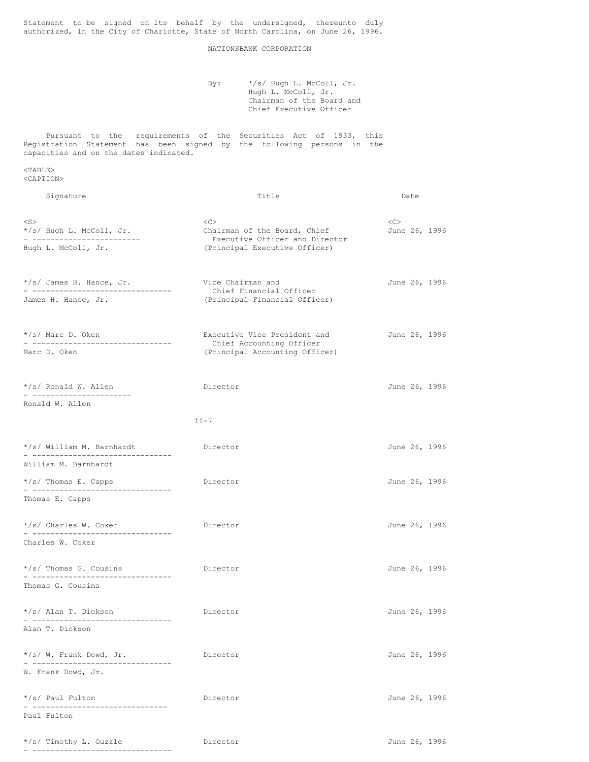Statement to be signed on its behalf by the undersigned, thereunto duly authorized, in the City of Charlotte, State of North Carolina, on June 26, 1996.

## NATIONSBANK CORPORATION

By:  $\star$ /s/ Hugh L. McColl, Jr. Hugh L. McColl, Jr. Chairman of the Board and Chief Executive Officer

Pursuant to the requirements of the Securities Act of 1933, this Registration Statement has been signed by the following persons in the capacities and on the dates indicated.

<TABLE> <CAPTION>

| Signature                                                            | Title                                                                 |                      |  |
|----------------------------------------------------------------------|-----------------------------------------------------------------------|----------------------|--|
| $<$ S $>$<br>*/s/ Hugh L. McColl, Jr.<br>- ------------------------  | <<><br>Chairman of the Board, Chief<br>Executive Officer and Director | <<><br>June 26, 1996 |  |
| Hugh L. McColl, Jr.                                                  | (Principal Executive Officer)                                         |                      |  |
| */s/ James H. Hance, Jr.<br>- --------------------------------       | Vice Chairman and<br>Chief Financial Officer                          | June 26, 1996        |  |
| James H. Hance, Jr.                                                  | (Principal Financial Officer)                                         |                      |  |
| */s/ Marc D. Oken<br>. ---------------------------------             | Executive Vice President and<br>Chief Accounting Officer              | June 26, 1996        |  |
| Marc D. Oken                                                         | (Principal Accounting Officer)                                        |                      |  |
| */s/ Ronald W. Allen                                                 | Director                                                              | June 26, 1996        |  |
| Ronald W. Allen                                                      |                                                                       |                      |  |
|                                                                      | $II-7$                                                                |                      |  |
| */s/ William M. Barnhardt<br>- --------------------------------      | Director                                                              | June 26, 1996        |  |
| William M. Barnhardt                                                 |                                                                       |                      |  |
| */s/ Thomas E. Capps<br>.                                            | Director                                                              | June 26, 1996        |  |
| Thomas E. Capps                                                      |                                                                       |                      |  |
| */s/ Charles W. Coker<br>.                                           | Director                                                              | June 26, 1996        |  |
| Charles W. Coker                                                     |                                                                       |                      |  |
| */s/ Thomas G. Cousins                                               | Director                                                              | June 26, 1996        |  |
| Thomas G. Cousins                                                    |                                                                       |                      |  |
| */s/ Alan T. Dickson<br>- --------------------------------           | Director                                                              | June 26, 1996        |  |
| Alan T. Dickson                                                      |                                                                       |                      |  |
| */s/ W. Frank Dowd, Jr.<br>. <u>-----------------------------</u> -- | Director                                                              | June 26, 1996        |  |
| W. Frank Dowd, Jr.                                                   |                                                                       |                      |  |
| */s/ Paul Fulton<br>------------------------------                   | Director                                                              | June 26, 1996        |  |
| Paul Fulton                                                          |                                                                       |                      |  |

| */s/ Timothy L. Guzzle |  |  |  |  |  |  |  |  |  |  |
|------------------------|--|--|--|--|--|--|--|--|--|--|
|                        |  |  |  |  |  |  |  |  |  |  |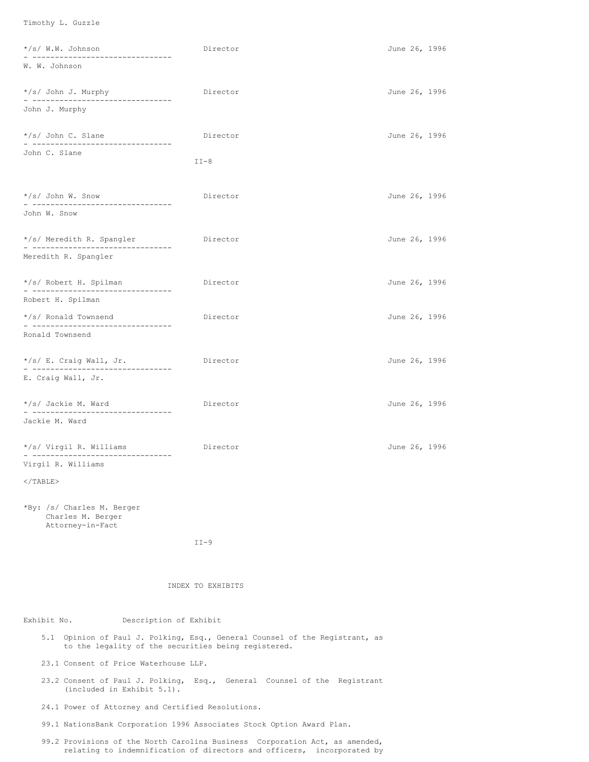Timothy L. Guzzle

| */s/ W.W. Johnson<br>- -------------------------------              | Director | June 26, 1996 |
|---------------------------------------------------------------------|----------|---------------|
| W. W. Johnson                                                       |          |               |
| */s/ John J. Murphy<br>_ __________________________________         | Director | June 26, 1996 |
| John J. Murphy                                                      |          |               |
| */s/ John C. Slane<br>- --------------------------------            | Director | June 26, 1996 |
| John C. Slane                                                       | $II-8$   |               |
| */s/ John W. Snow<br>- -------------------------------              | Director | June 26, 1996 |
| John W. Snow                                                        |          |               |
| */s/ Meredith R. Spangler<br>_ __________________________________   | Director | June 26, 1996 |
| Meredith R. Spangler                                                |          |               |
| */s/ Robert H. Spilman<br>- --------------------------------        | Director | June 26, 1996 |
| Robert H. Spilman                                                   |          |               |
| */s/ Ronald Townsend<br>- -------------------------------           | Director | June 26, 1996 |
| Ronald Townsend                                                     |          |               |
| */s/ E. Craig Wall, Jr.<br>- --------------------------------       | Director | June 26, 1996 |
| E. Craig Wall, Jr.                                                  |          |               |
| */s/ Jackie M. Ward<br>.                                            | Director | June 26, 1996 |
| Jackie M. Ward                                                      |          |               |
| */s/ Virgil R. Williams<br>- --------------------------------       | Director | June 26, 1996 |
| Virgil R. Williams                                                  |          |               |
| $\langle$ /TABLE>                                                   |          |               |
| *By: /s/ Charles M. Berger<br>Charles M. Berger<br>Attorney-in-Fact |          |               |
|                                                                     | $II-9$   |               |

## INDEX TO EXHIBITS

# Exhibit No. Description of Exhibit

- 5.1 Opinion of Paul J. Polking, Esq., General Counsel of the Registrant, as to the legality of the securities being registered.
- 23.1 Consent of Price Waterhouse LLP.
- 23.2 Consent of Paul J. Polking, Esq., General Counsel of the Registrant (included in Exhibit 5.1).
- 24.1 Power of Attorney and Certified Resolutions.
- 99.1 NationsBank Corporation 1996 Associates Stock Option Award Plan.
- 99.2 Provisions of the North Carolina Business Corporation Act, as amended, relating to indemnification of directors and officers, incorporated by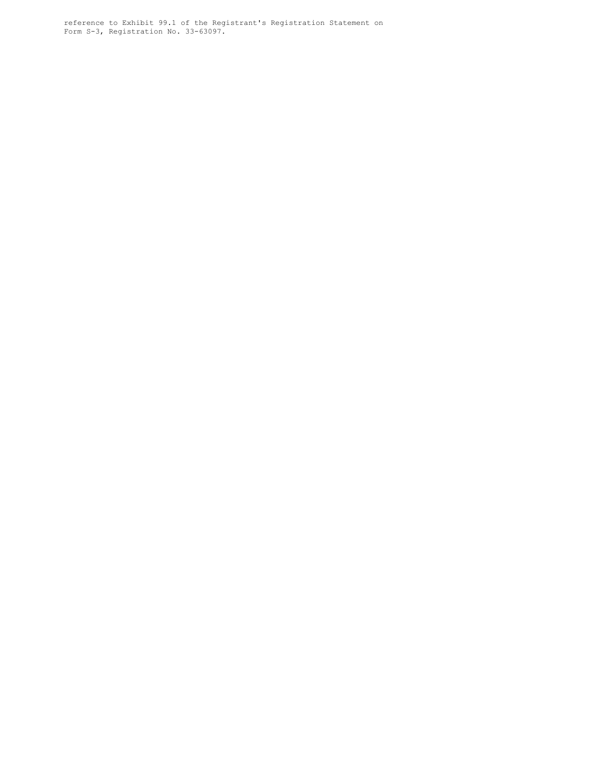reference to Exhibit 99.1 of the Registrant's Registration Statement on Form S-3, Registration No. 33-63097.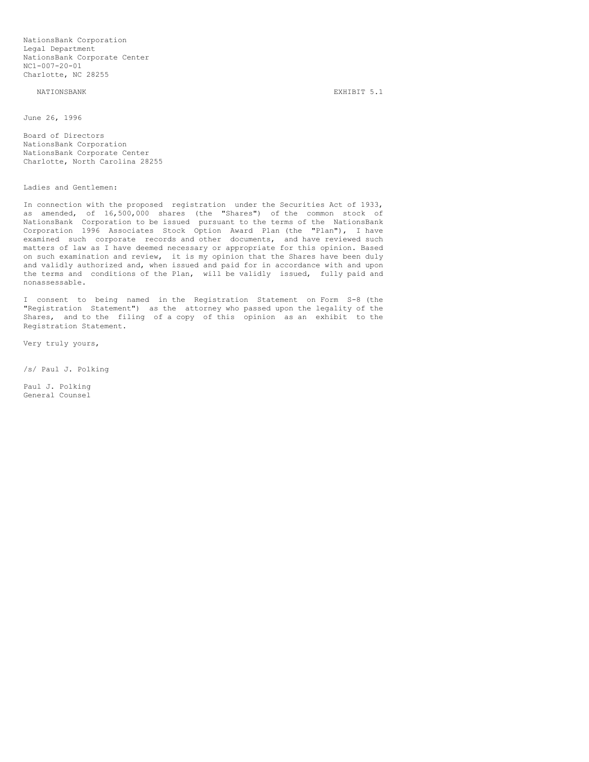NationsBank Corporation Legal Department NationsBank Corporate Center NC1-007-20-01 Charlotte, NC 28255

#### NATIONSBANK EXHIBIT 5.1

June 26, 1996

Board of Directors NationsBank Corporation NationsBank Corporate Center Charlotte, North Carolina 28255

Ladies and Gentlemen:

In connection with the proposed registration under the Securities Act of 1933, as amended, of 16,500,000 shares (the "Shares") of the common stock of NationsBank Corporation to be issued pursuant to the terms of the NationsBank Corporation 1996 Associates Stock Option Award Plan (the "Plan"), I have examined such corporate records and other documents, and have reviewed such matters of law as I have deemed necessary or appropriate for this opinion. Based on such examination and review, it is my opinion that the Shares have been duly and validly authorized and, when issued and paid for in accordance with and upon the terms and conditions of the Plan, will be validly issued, fully paid and nonassessable.

I consent to being named in the Registration Statement on Form S-8 (the "Registration Statement") as the attorney who passed upon the legality of the Shares, and to the filing of a copy of this opinion as an exhibit to the Registration Statement.

Very truly yours,

/s/ Paul J. Polking

Paul J. Polking General Counsel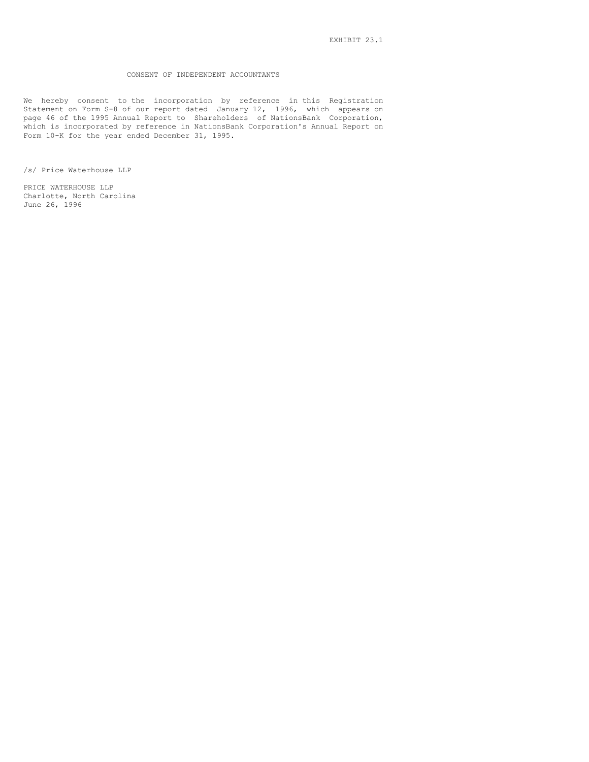## CONSENT OF INDEPENDENT ACCOUNTANTS

We hereby consent to the incorporation by reference in this Registration Statement on Form S-8 of our report dated January 12, 1996, which appears on page 46 of the 1995 Annual Report to Shareholders of NationsBank Corporation, which is incorporated by reference in NationsBank Corporation's Annual Report on Form 10-K for the year ended December 31, 1995.

/s/ Price Waterhouse LLP

PRICE WATERHOUSE LLP Charlotte, North Carolina June 26, 1996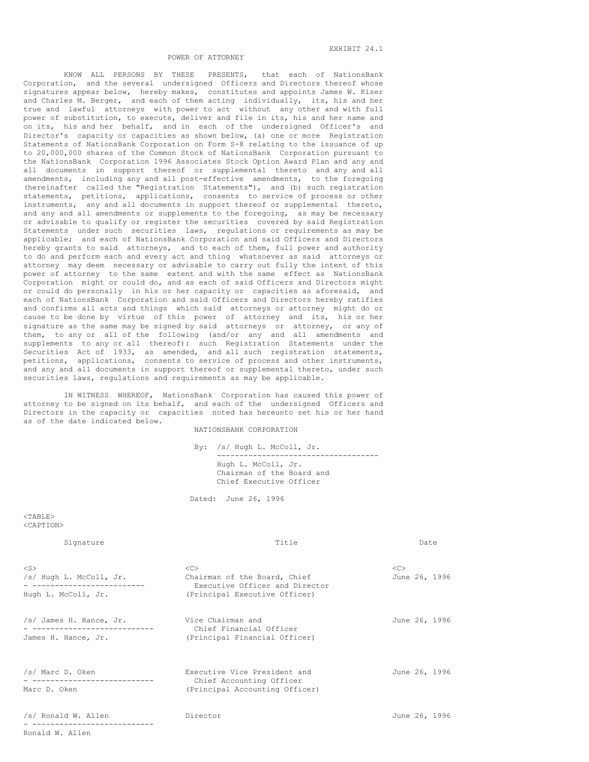KNOW ALL PERSONS BY THESE PRESENTS, that each of NationsBank Corporation, and the several undersigned Officers and Directors thereof whose signatures appear below, hereby makes, constitutes and appoints James W. Kiser and Charles M. Berger, and each of them acting individually, its, his and her true and lawful attorneys with power to act without any other and with full power of substitution, to execute, deliver and file in its, his and her name and on its, his and her behalf, and in each of the undersigned Officer's and Director's capacity or capacities as shown below, (a) one or more Registration Statements of NationsBank Corporation on Form S-8 relating to the issuance of up to 20,000,000 shares of the Common Stock of NationsBank Corporation pursuant to the NationsBank Corporation 1996 Associates Stock Option Award Plan and any and all documents in support thereof or supplemental thereto and any and all amendments, including any and all post-effective amendments, to the foregoing (hereinafter called the "Registration Statements"), and (b) such registration statements, petitions, applications, consents to service of process or other instruments, any and all documents in support thereof or supplemental thereto, and any and all amendments or supplements to the foregoing, as may be necessary or advisable to qualify or register the securities covered by said Registration Statements under such securities laws, regulations or requirements as may be applicable; and each of NationsBank Corporation and said Officers and Directors hereby grants to said attorneys, and to each of them, full power and authority to do and perform each and every act and thing whatsoever as said attorneys or attorney may deem necessary or advisable to carry out fully the intent of this power of attorney to the same extent and with the same effect as NationsBank Corporation might or could do, and as each of said Officers and Directors might or could do personally in his or her capacity or capacities as aforesaid, and each of NationsBank Corporation and said Officers and Directors hereby ratifies and confirms all acts and things which said attorneys or attorney might do or cause to be done by virtue of this power of attorney and its, his or her signature as the same may be signed by said attorneys or attorney, or any of them, to any or all of the following (and/or any and all amendments and supplements to any or all thereof): such Registration Statements under the Securities Act of 1933, as amended, and all such registration statements, petitions, applications, consents to service of process and other instruments, and any and all documents in support thereof or supplemental thereto, under such securities laws, regulations and requirements as may be applicable.

IN WITNESS WHEREOF, NationsBank Corporation has caused this power of attorney to be signed on its behalf, and each of the undersigned Officers and Directors in the capacity or capacities noted has hereunto set his or her hand as of the date indicated below.

NATIONSBANK CORPORATION

By: /s/ Hugh L. McColl, Jr. ------------------------------------ Hugh L. McColl, Jr. Chairman of the Board and Chief Executive Officer

Dated: June 26, 1996

 $<$ TABLE> <CAPTION>

Ronald W. Allen

| Signature                                                                                 | Title                                                                                                               |               | Date |               |  |
|-------------------------------------------------------------------------------------------|---------------------------------------------------------------------------------------------------------------------|---------------|------|---------------|--|
| $<$ S $>$<br>/s/ Hugh L. McColl, Jr.<br>--------------------------<br>Hugh L. McColl, Jr. | < <sub><br/>Chairman of the Board, Chief<br/>Executive Officer and Director<br/>(Principal Executive Officer)</sub> | < <sub></sub> |      | June 26, 1996 |  |
| /s/ James H. Hance, Jr.<br>--------------<br>James H. Hance, Jr.                          | Vice Chairman and<br>Chief Financial Officer<br>(Principal Financial Officer)                                       | June 26, 1996 |      |               |  |
| /s/ Marc D. Oken<br>Marc D. Oken                                                          | Executive Vice President and<br>Chief Accounting Officer<br>(Principal Accounting Officer)                          | June 26, 1996 |      |               |  |
| /s/ Ronald W. Allen                                                                       | Director                                                                                                            | June 26, 1996 |      |               |  |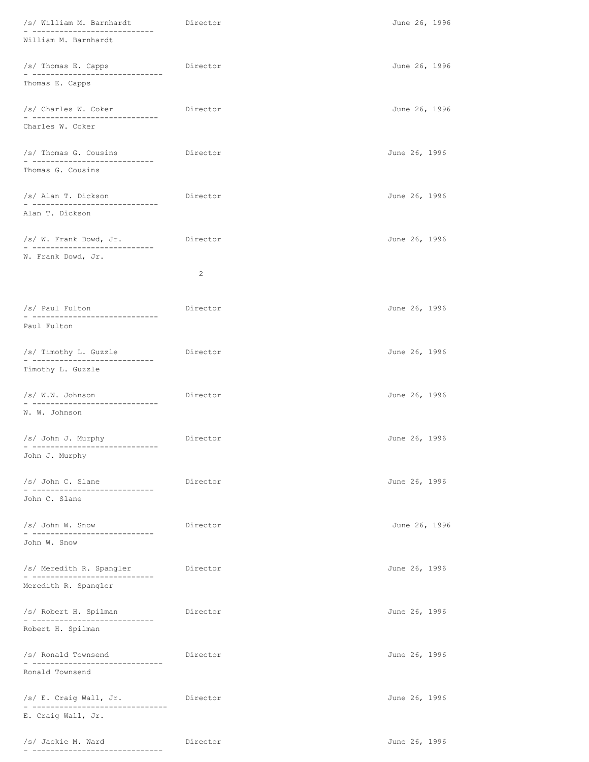| /s/ William M. Barnhardt<br>_______________<br>------       | Director | June 26, 1996 |  |
|-------------------------------------------------------------|----------|---------------|--|
| William M. Barnhardt                                        |          |               |  |
| /s/ Thomas E. Capps<br>- ------------------------------     | Director | June 26, 1996 |  |
| Thomas E. Capps                                             |          |               |  |
| /s/ Charles W. Coker                                        | Director | June 26, 1996 |  |
| Charles W. Coker                                            |          |               |  |
| /s/ Thomas G. Cousins<br>________________________________   | Director | June 26, 1996 |  |
| Thomas G. Cousins                                           |          |               |  |
| /s/ Alan T. Dickson<br>_________________________________    | Director | June 26, 1996 |  |
| Alan T. Dickson                                             |          |               |  |
| /s/ W. Frank Dowd, Jr.<br>- ----------------------------    | Director | June 26, 1996 |  |
| W. Frank Dowd, Jr.                                          | 2        |               |  |
|                                                             |          |               |  |
| /s/ Paul Fulton<br>-----------------------------            | Director | June 26, 1996 |  |
| Paul Fulton                                                 |          |               |  |
| /s/ Timothy L. Guzzle<br>_______________________________    | Director | June 26, 1996 |  |
| Timothy L. Guzzle                                           |          |               |  |
| /s/ W.W. Johnson                                            | Director | June 26, 1996 |  |
| W. W. Johnson                                               |          |               |  |
| /s/ John J. Murphy                                          | Director | June 26, 1996 |  |
| John J. Murphy                                              |          |               |  |
| /s/ John C. Slane<br>- ----------------------------         | Director | June 26, 1996 |  |
| John C. Slane                                               |          |               |  |
| /s/ John W. Snow<br>_ _____________________________         | Director | June 26, 1996 |  |
| John W. Snow                                                |          |               |  |
| /s/ Meredith R. Spangler<br>- ----------------------------- | Director | June 26, 1996 |  |
| Meredith R. Spangler                                        |          |               |  |
| /s/ Robert H. Spilman<br>______________________________     | Director | June 26, 1996 |  |
| Robert H. Spilman                                           |          |               |  |
| /s/ Ronald Townsend<br>- ------------------------------     | Director | June 26, 1996 |  |
| Ronald Townsend                                             |          |               |  |
| /s/ E. Craig Wall, Jr.<br>------------------                | Director | June 26, 1996 |  |
| E. Craig Wall, Jr.                                          |          |               |  |
| /s/ Jackie M. Ward<br>----------------------                | Director | June 26, 1996 |  |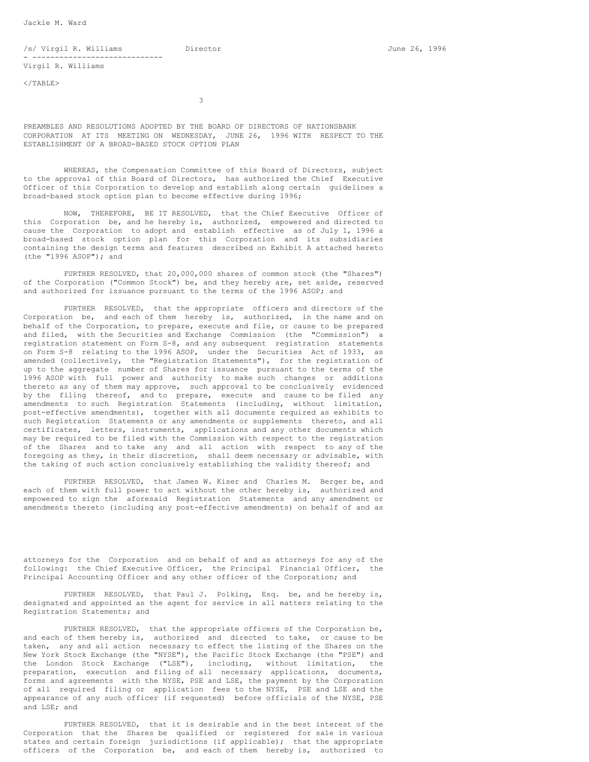Jackie M. Ward

/s/ Virgil R. Williams Director June 26, 1996 - ----------------------------- Virgil R. Williams

 $<$ /TABLE $>$ 

3

PREAMBLES AND RESOLUTIONS ADOPTED BY THE BOARD OF DIRECTORS OF NATIONSBANK CORPORATION AT ITS MEETING ON WEDNESDAY, JUNE 26, 1996 WITH RESPECT TO THE ESTABLISHMENT OF A BROAD-BASED STOCK OPTION PLAN

WHEREAS, the Compensation Committee of this Board of Directors, subject to the approval of this Board of Directors, has authorized the Chief Executive Officer of this Corporation to develop and establish along certain guidelines a broad-based stock option plan to become effective during 1996;

NOW, THEREFORE, BE IT RESOLVED, that the Chief Executive Officer of this Corporation be, and he hereby is, authorized, empowered and directed to cause the Corporation to adopt and establish effective as of July 1, 1996 a broad-based stock option plan for this Corporation and its subsidiaries containing the design terms and features described on Exhibit A attached hereto (the "1996 ASOP"); and

FURTHER RESOLVED, that 20,000,000 shares of common stock (the "Shares") of the Corporation ("Common Stock") be, and they hereby are, set aside, reserved and authorized for issuance pursuant to the terms of the 1996 ASOP; and

FURTHER RESOLVED, that the appropriate officers and directors of the Corporation be, and each of them hereby is, authorized, in the name and on behalf of the Corporation, to prepare, execute and file, or cause to be prepared and filed, with the Securities and Exchange Commission (the "Commission") a registration statement on Form S-8, and any subsequent registration statements on Form S-8 relating to the 1996 ASOP, under the Securities Act of 1933, as amended (collectively, the "Registration Statements"), for the registration of up to the aggregate number of Shares for issuance pursuant to the terms of the 1996 ASOP with full power and authority to make such changes or additions thereto as any of them may approve, such approval to be conclusively evidenced by the filing thereof, and to prepare, execute and cause to be filed any amendments to such Registration Statements (including, without limitation, post-effective amendments), together with all documents required as exhibits to such Registration Statements or any amendments or supplements thereto, and all certificates, letters, instruments, applications and any other documents which may be required to be filed with the Commission with respect to the registration of the Shares and to take any and all action with respect to any of the foregoing as they, in their discretion, shall deem necessary or advisable, with the taking of such action conclusively establishing the validity thereof; and

FURTHER RESOLVED, that James W. Kiser and Charles M. Berger be, and each of them with full power to act without the other hereby is, authorized and empowered to sign the aforesaid Registration Statements and any amendment or amendments thereto (including any post-effective amendments) on behalf of and as

attorneys for the Corporation and on behalf of and as attorneys for any of the following: the Chief Executive Officer, the Principal Financial Officer, the Principal Accounting Officer and any other officer of the Corporation; and

FURTHER RESOLVED, that Paul J. Polking, Esq. be, and he hereby is, designated and appointed as the agent for service in all matters relating to the Registration Statements; and

FURTHER RESOLVED, that the appropriate officers of the Corporation be, and each of them hereby is, authorized and directed to take, or cause to be taken, any and all action necessary to effect the listing of the Shares on the New York Stock Exchange (the "NYSE"), the Pacific Stock Exchange (the "PSE") and the London Stock Exchange ("LSE"), including, without limitation, the preparation, execution and filing of all necessary applications, documents, forms and agreements with the NYSE, PSE and LSE, the payment by the Corporation of all required filing or application fees to the NYSE, PSE and LSE and the appearance of any such officer (if requested) before officials of the NYSE, PSE and LSE; and

FURTHER RESOLVED, that it is desirable and in the best interest of the Corporation that the Shares be qualified or registered for sale in various states and certain foreign jurisdictions (if applicable); that the appropriate officers of the Corporation be, and each of them hereby is, authorized to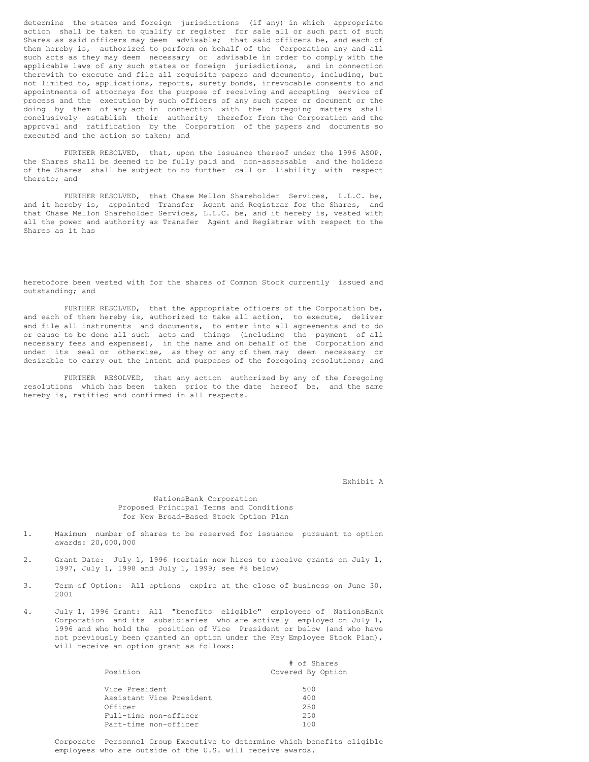determine the states and foreign jurisdictions (if any) in which appropriate action shall be taken to qualify or register for sale all or such part of such Shares as said officers may deem advisable; that said officers be, and each of them hereby is, authorized to perform on behalf of the Corporation any and all such acts as they may deem necessary or advisable in order to comply with the applicable laws of any such states or foreign jurisdictions, and in connection therewith to execute and file all requisite papers and documents, including, but not limited to, applications, reports, surety bonds, irrevocable consents to and appointments of attorneys for the purpose of receiving and accepting service of process and the execution by such officers of any such paper or document or the doing by them of any act in connection with the foregoing matters shall conclusively establish their authority therefor from the Corporation and the approval and ratification by the Corporation of the papers and documents so executed and the action so taken; and

FURTHER RESOLVED, that, upon the issuance thereof under the 1996 ASOP, the Shares shall be deemed to be fully paid and non-assessable and the holders of the Shares shall be subject to no further call or liability with respect thereto; and

FURTHER RESOLVED, that Chase Mellon Shareholder Services, L.L.C. be, and it hereby is, appointed Transfer Agent and Registrar for the Shares, and that Chase Mellon Shareholder Services, L.L.C. be, and it hereby is, vested with all the power and authority as Transfer Agent and Registrar with respect to the Shares as it has

heretofore been vested with for the shares of Common Stock currently issued and outstanding; and

FURTHER RESOLVED, that the appropriate officers of the Corporation be, and each of them hereby is, authorized to take all action, to execute, deliver and file all instruments and documents, to enter into all agreements and to do or cause to be done all such acts and things (including the payment of all necessary fees and expenses), in the name and on behalf of the Corporation and under its seal or otherwise, as they or any of them may deem necessary or desirable to carry out the intent and purposes of the foregoing resolutions; and

FURTHER RESOLVED, that any action authorized by any of the foregoing resolutions which has been taken prior to the date hereof be, and the same hereby is, ratified and confirmed in all respects.

Exhibit A

## NationsBank Corporation Proposed Principal Terms and Conditions for New Broad-Based Stock Option Plan

- 1. Maximum number of shares to be reserved for issuance pursuant to option awards: 20,000,000
- 2. Grant Date: July 1, 1996 (certain new hires to receive grants on July 1, 1997, July 1, 1998 and July 1, 1999; see #8 below)
- 3. Term of Option: All options expire at the close of business on June 30, 2001
- 4. July 1, 1996 Grant: All "benefits eligible" employees of NationsBank Corporation and its subsidiaries who are actively employed on July 1, 1996 and who hold the position of Vice President or below (and who have not previously been granted an option under the Key Employee Stock Plan), will receive an option grant as follows:

| Position                 | # of Shares<br>Covered By Option |
|--------------------------|----------------------------------|
|                          |                                  |
| Vice President           | 500                              |
| Assistant Vice President | 400                              |
| Officer                  | 2.50                             |
| Full-time non-officer    | 250                              |
| Part-time non-officer    | 100                              |

Corporate Personnel Group Executive to determine which benefits eligible employees who are outside of the U.S. will receive awards.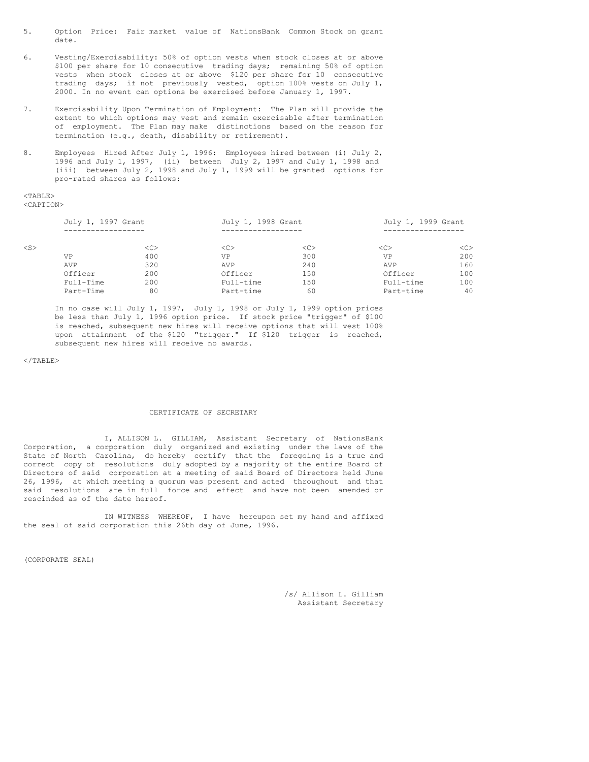- 5. Option Price: Fair market value of NationsBank Common Stock on grant date.
- 6. Vesting/Exercisability: 50% of option vests when stock closes at or above \$100 per share for 10 consecutive trading days; remaining 50% of option vests when stock closes at or above \$120 per share for 10 consecutive trading days; if not previously vested, option 100% vests on July 1, 2000. In no event can options be exercised before January 1, 1997.
- 7. Exercisability Upon Termination of Employment: The Plan will provide the extent to which options may vest and remain exercisable after termination of employment. The Plan may make distinctions based on the reason for termination (e.g., death, disability or retirement).
- 8. Employees Hired After July 1, 1996: Employees hired between (i) July 2, 1996 and July 1, 1997, (ii) between July 2, 1997 and July 1, 1998 and (iii) between July 2, 1998 and July 1, 1999 will be granted options for pro-rated shares as follows:

#### <TABLE> <CAPTION>

|        | July 1, 1997 Grant |         | July 1, 1998 Grant |         | July 1, 1999 Grant |               |  |  |
|--------|--------------------|---------|--------------------|---------|--------------------|---------------|--|--|
|        |                    |         |                    |         |                    |               |  |  |
| $<$ S> |                    | <c></c> | <<                 | <c></c> | < <sub></sub>      | < <sub></sub> |  |  |
|        | VP                 | 400     | VP                 | 300     | VP                 | 200           |  |  |
|        | AVP                | 320     | <b>AVP</b>         | 240     | AVP                | 160           |  |  |
|        | Officer            | 200     | Officer            | 150     | Officer            | 100           |  |  |
|        | Full-Time          | 200     | Full-time          | 150     | Full-time          | 100           |  |  |
|        | Part-Time          | 80      | Part-time          | 60      | Part-time          | 40            |  |  |

In no case will July 1, 1997, July 1, 1998 or July 1, 1999 option prices be less than July 1, 1996 option price. If stock price "trigger" of \$100 is reached, subsequent new hires will receive options that will vest 100% upon attainment of the \$120 "trigger." If \$120 trigger is reached, subsequent new hires will receive no awards.

## $<$ /TABLE>

#### CERTIFICATE OF SECRETARY

I, ALLISON L. GILLIAM, Assistant Secretary of NationsBank Corporation, a corporation duly organized and existing under the laws of the State of North Carolina, do hereby certify that the foregoing is a true and correct copy of resolutions duly adopted by a majority of the entire Board of Directors of said corporation at a meeting of said Board of Directors held June 26, 1996, at which meeting a quorum was present and acted throughout and that said resolutions are in full force and effect and have not been amended or rescinded as of the date hereof.

IN WITNESS WHEREOF, I have hereupon set my hand and affixed the seal of said corporation this 26th day of June, 1996.

(CORPORATE SEAL)

/s/ Allison L. Gilliam Assistant Secretary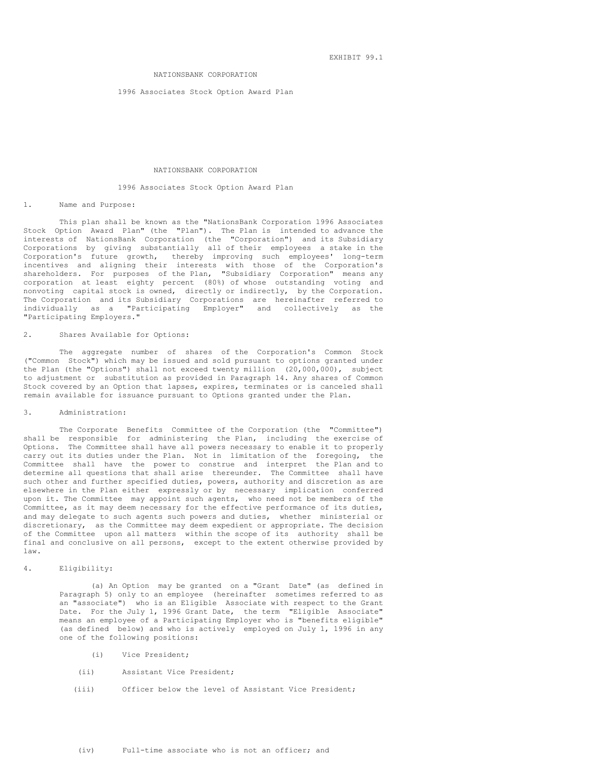EXHIBIT 99.1

## NATIONSBANK CORPORATION

### 1996 Associates Stock Option Award Plan

#### NATIONSBANK CORPORATION

#### 1996 Associates Stock Option Award Plan

#### 1. Name and Purpose:

This plan shall be known as the "NationsBank Corporation 1996 Associates Stock Option Award Plan" (the "Plan"). The Plan is intended to advance the interests of NationsBank Corporation (the "Corporation") and its Subsidiary Corporations by giving substantially all of their employees a stake in the Corporation's future growth, thereby improving such employees' long-term incentives and aligning their interests with those of the Corporation's shareholders. For purposes of the Plan, "Subsidiary Corporation" means any corporation at least eighty percent (80%) of whose outstanding voting and nonvoting capital stock is owned, directly or indirectly, by the Corporation. The Corporation and its Subsidiary Corporations are hereinafter referred to individually as a "Participating Employer" and collectively as the "Participating Employers."

## 2. Shares Available for Options:

The aggregate number of shares of the Corporation's Common Stock ("Common Stock") which may be issued and sold pursuant to options granted under the Plan (the "Options") shall not exceed twenty million (20,000,000), subject to adjustment or substitution as provided in Paragraph 14. Any shares of Common Stock covered by an Option that lapses, expires, terminates or is canceled shall remain available for issuance pursuant to Options granted under the Plan.

## 3. Administration:

The Corporate Benefits Committee of the Corporation (the "Committee") shall be responsible for administering the Plan, including the exercise of Options. The Committee shall have all powers necessary to enable it to properly carry out its duties under the Plan. Not in limitation of the foregoing, the Committee shall have the power to construe and interpret the Plan and to determine all questions that shall arise thereunder. The Committee shall have such other and further specified duties, powers, authority and discretion as are elsewhere in the Plan either expressly or by necessary implication conferred upon it. The Committee may appoint such agents, who need not be members of the Committee, as it may deem necessary for the effective performance of its duties, and may delegate to such agents such powers and duties, whether ministerial or discretionary, as the Committee may deem expedient or appropriate. The decision of the Committee upon all matters within the scope of its authority shall be final and conclusive on all persons, except to the extent otherwise provided by law.

#### 4. Eligibility:

(a) An Option may be granted on a "Grant Date" (as defined in Paragraph 5) only to an employee (hereinafter sometimes referred to as an "associate") who is an Eligible Associate with respect to the Grant Date. For the July 1, 1996 Grant Date, the term "Eligible Associate" means an employee of a Participating Employer who is "benefits eligible" (as defined below) and who is actively employed on July 1, 1996 in any one of the following positions:

- (i) Vice President;
- (ii) Assistant Vice President;
- (iii) Officer below the level of Assistant Vice President;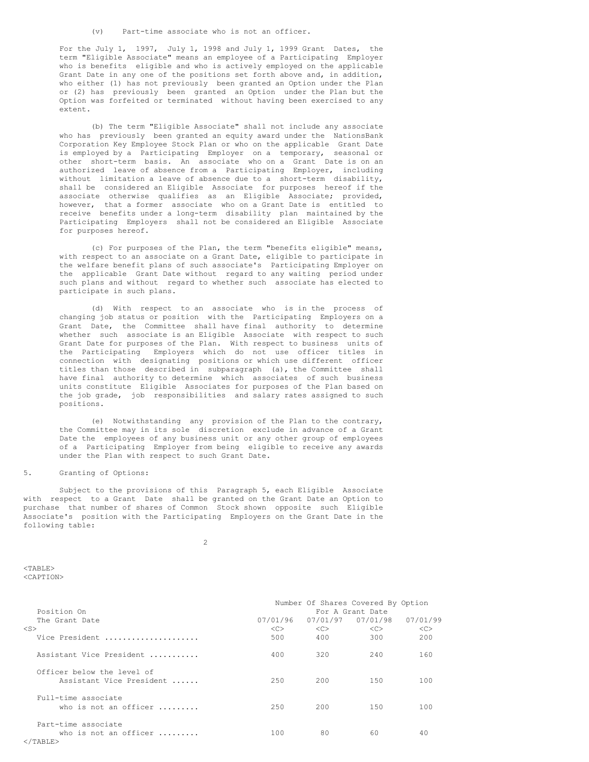(v) Part-time associate who is not an officer.

For the July 1, 1997, July 1, 1998 and July 1, 1999 Grant Dates, the term "Eligible Associate" means an employee of a Participating Employer who is benefits eligible and who is actively employed on the applicable Grant Date in any one of the positions set forth above and, in addition, who either (1) has not previously been granted an Option under the Plan or (2) has previously been granted an Option under the Plan but the Option was forfeited or terminated without having been exercised to any extent.

(b) The term "Eligible Associate" shall not include any associate who has previously been granted an equity award under the NationsBank Corporation Key Employee Stock Plan or who on the applicable Grant Date is employed by a Participating Employer on a temporary, seasonal or other short-term basis. An associate who on a Grant Date is on an authorized leave of absence from a Participating Employer, including without limitation a leave of absence due to a short-term disability, shall be considered an Eligible Associate for purposes hereof if the associate otherwise qualifies as an Eligible Associate; provided, however, that a former associate who on a Grant Date is entitled to receive benefits under a long-term disability plan maintained by the Participating Employers shall not be considered an Eligible Associate for purposes hereof.

(c) For purposes of the Plan, the term "benefits eligible" means, with respect to an associate on a Grant Date, eligible to participate in the welfare benefit plans of such associate's Participating Employer on the applicable Grant Date without regard to any waiting period under such plans and without regard to whether such associate has elected to participate in such plans.

(d) With respect to an associate who is in the process of changing job status or position with the Participating Employers on a Grant Date, the Committee shall have final authority to determine whether such associate is an Eligible Associate with respect to such Grant Date for purposes of the Plan. With respect to business units of the Participating Employers which do not use officer titles in connection with designating positions or which use different officer titles than those described in subparagraph (a), the Committee shall have final authority to determine which associates of such business units constitute Eligible Associates for purposes of the Plan based on the job grade, job responsibilities and salary rates assigned to such positions.

(e) Notwithstanding any provision of the Plan to the contrary, the Committee may in its sole discretion exclude in advance of a Grant Date the employees of any business unit or any other group of employees of a Participating Employer from being eligible to receive any awards under the Plan with respect to such Grant Date.

## 5. Granting of Options:

Subject to the provisions of this Paragraph 5, each Eligible Associate with respect to a Grant Date shall be granted on the Grant Date an Option to purchase that number of shares of Common Stock shown opposite such Eligible Associate's position with the Participating Employers on the Grant Date in the following table:

 $\overline{2}$ 

 $<$ TABLE> <CAPTION>

|                                                                                   |                  |           | Number Of Shares Covered By Option |          |  |  |  |
|-----------------------------------------------------------------------------------|------------------|-----------|------------------------------------|----------|--|--|--|
| Position On                                                                       | For A Grant Date |           |                                    |          |  |  |  |
| The Grant Date                                                                    | 07/01/96         |           | 07/01/97  07/01/98                 | 07/01/99 |  |  |  |
| $<$ S $>$                                                                         | <<               | < <c></c> | < <sub></sub>                      | <<>      |  |  |  |
| Vice President                                                                    | 500              | 400       | 300                                | 200      |  |  |  |
| Assistant Vice President                                                          | 400              | 320       | 240                                | 160      |  |  |  |
| Officer below the level of<br>Assistant Vice President                            | 2.50             | 200       | 150                                | 100      |  |  |  |
| Full-time associate<br>who is not an officer $\ldots \ldots$                      | 2.50             | 200       | 150                                | 100      |  |  |  |
| Part-time associate<br>who is not an officer $\ldots \ldots$<br>$\langle$ /TABLE> | 100              | 80        | 60                                 | 40       |  |  |  |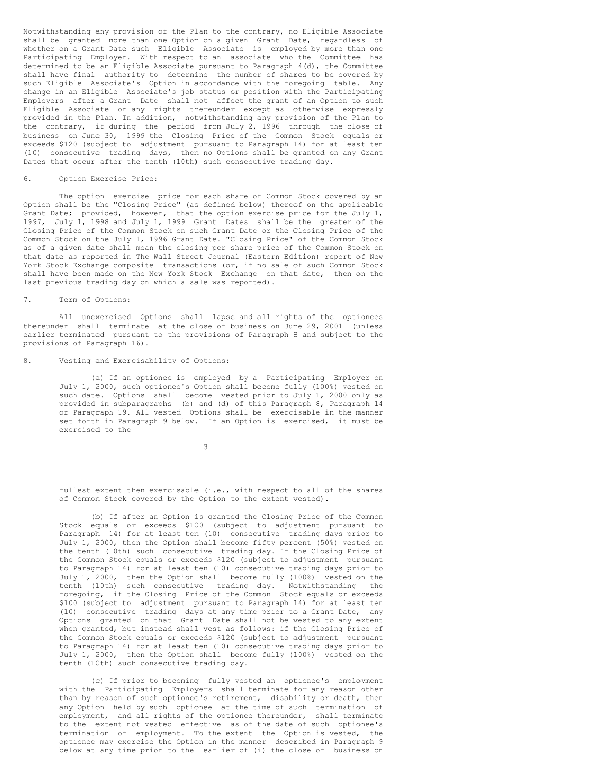Notwithstanding any provision of the Plan to the contrary, no Eligible Associate shall be granted more than one Option on a given Grant Date, regardless of whether on a Grant Date such Eligible Associate is employed by more than one Participating Employer. With respect to an associate who the Committee has determined to be an Eligible Associate pursuant to Paragraph 4(d), the Committee shall have final authority to determine the number of shares to be covered by such Eligible Associate's Option in accordance with the foregoing table. Any change in an Eligible Associate's job status or position with the Participating Employers after a Grant Date shall not affect the grant of an Option to such Eligible Associate or any rights thereunder except as otherwise expressly provided in the Plan. In addition, notwithstanding any provision of the Plan to the contrary, if during the period from July 2, 1996 through the close of business on June 30, 1999 the Closing Price of the Common Stock equals or exceeds \$120 (subject to adjustment pursuant to Paragraph 14) for at least ten (10) consecutive trading days, then no Options shall be granted on any Grant Dates that occur after the tenth (10th) such consecutive trading day.

### 6. Option Exercise Price:

The option exercise price for each share of Common Stock covered by an Option shall be the "Closing Price" (as defined below) thereof on the applicable Grant Date; provided, however, that the option exercise price for the July 1, 1997, July 1, 1998 and July 1, 1999 Grant Dates shall be the greater of the Closing Price of the Common Stock on such Grant Date or the Closing Price of the Common Stock on the July 1, 1996 Grant Date. "Closing Price" of the Common Stock as of a given date shall mean the closing per share price of the Common Stock on that date as reported in The Wall Street Journal (Eastern Edition) report of New York Stock Exchange composite transactions (or, if no sale of such Common Stock shall have been made on the New York Stock Exchange on that date, then on the last previous trading day on which a sale was reported).

## 7. Term of Options:

All unexercised Options shall lapse and all rights of the optionees thereunder shall terminate at the close of business on June 29, 2001 (unless earlier terminated pursuant to the provisions of Paragraph 8 and subject to the provisions of Paragraph 16).

## 8. Vesting and Exercisability of Options:

(a) If an optionee is employed by a Participating Employer on July 1, 2000, such optionee's Option shall become fully (100%) vested on such date. Options shall become vested prior to July 1, 2000 only as provided in subparagraphs (b) and (d) of this Paragraph 8, Paragraph 14 or Paragraph 19. All vested Options shall be exercisable in the manner set forth in Paragraph 9 below. If an Option is exercised, it must be exercised to the

3

fullest extent then exercisable (i.e., with respect to all of the shares of Common Stock covered by the Option to the extent vested).

(b) If after an Option is granted the Closing Price of the Common Stock equals or exceeds \$100 (subject to adjustment pursuant to Paragraph 14) for at least ten (10) consecutive trading days prior to July 1, 2000, then the Option shall become fifty percent (50%) vested on the tenth (10th) such consecutive trading day. If the Closing Price of the Common Stock equals or exceeds \$120 (subject to adjustment pursuant to Paragraph 14) for at least ten (10) consecutive trading days prior to July 1, 2000, then the Option shall become fully (100%) vested on the tenth (10th) such consecutive trading day. Notwithstanding the foregoing, if the Closing Price of the Common Stock equals or exceeds \$100 (subject to adjustment pursuant to Paragraph 14) for at least ten (10) consecutive trading days at any time prior to a Grant Date, any Options granted on that Grant Date shall not be vested to any extent when granted, but instead shall vest as follows: if the Closing Price of the Common Stock equals or exceeds \$120 (subject to adjustment pursuant to Paragraph 14) for at least ten (10) consecutive trading days prior to July 1, 2000, then the Option shall become fully (100%) vested on the tenth (10th) such consecutive trading day.

(c) If prior to becoming fully vested an optionee's employment with the Participating Employers shall terminate for any reason other than by reason of such optionee's retirement, disability or death, then any Option held by such optionee at the time of such termination of employment, and all rights of the optionee thereunder, shall terminate to the extent not vested effective as of the date of such optionee's termination of employment. To the extent the Option is vested, the optionee may exercise the Option in the manner described in Paragraph 9 below at any time prior to the earlier of (i) the close of business on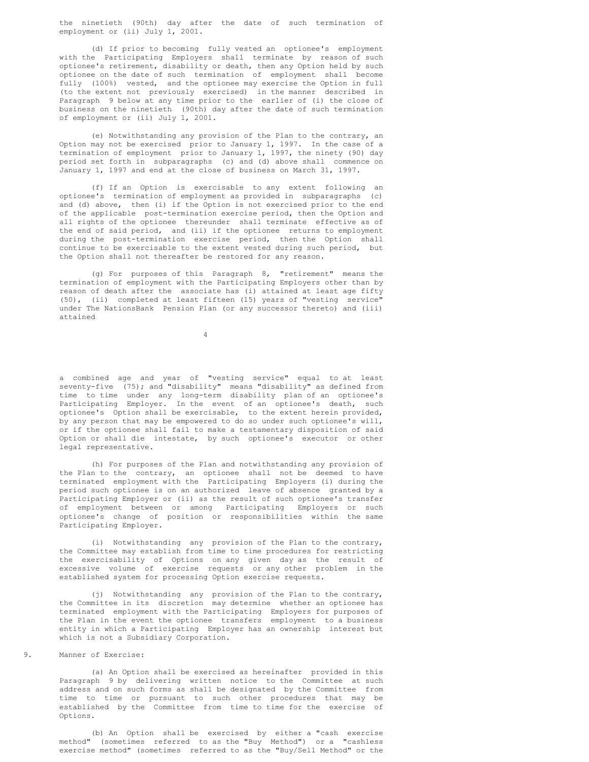the ninetieth (90th) day after the date of such termination of employment or (ii) July 1, 2001.

(d) If prior to becoming fully vested an optionee's employment with the Participating Employers shall terminate by reason of such optionee's retirement, disability or death, then any Option held by such optionee on the date of such termination of employment shall become fully (100%) vested, and the optionee may exercise the Option in full (to the extent not previously exercised) in the manner described in Paragraph 9 below at any time prior to the earlier of (i) the close of business on the ninetieth (90th) day after the date of such termination of employment or (ii) July 1, 2001.

(e) Notwithstanding any provision of the Plan to the contrary, an Option may not be exercised prior to January 1, 1997. In the case of a termination of employment prior to January 1, 1997, the ninety (90) day period set forth in subparagraphs (c) and (d) above shall commence on January 1, 1997 and end at the close of business on March 31, 1997.

(f) If an Option is exercisable to any extent following an optionee's termination of employment as provided in subparagraphs (c) and (d) above, then (i) if the Option is not exercised prior to the end of the applicable post-termination exercise period, then the Option and all rights of the optionee thereunder shall terminate effective as of the end of said period, and (ii) if the optionee returns to employment during the post-termination exercise period, then the Option shall continue to be exercisable to the extent vested during such period, but the Option shall not thereafter be restored for any reason.

(g) For purposes of this Paragraph 8, "retirement" means the termination of employment with the Participating Employers other than by reason of death after the associate has (i) attained at least age fifty (50), (ii) completed at least fifteen (15) years of "vesting service" under The NationsBank Pension Plan (or any successor thereto) and (iii) attained

4

a combined age and year of "vesting service" equal to at least seventy-five (75); and "disability" means "disability" as defined from time to time under any long-term disability plan of an optionee's Participating Employer. In the event of an optionee's death, such optionee's Option shall be exercisable, to the extent herein provided, by any person that may be empowered to do so under such optionee's will, or if the optionee shall fail to make a testamentary disposition of said Option or shall die intestate, by such optionee's executor or other legal representative.

(h) For purposes of the Plan and notwithstanding any provision of the Plan to the contrary, an optionee shall not be deemed to have terminated employment with the Participating Employers (i) during the period such optionee is on an authorized leave of absence granted by a Participating Employer or (ii) as the result of such optionee's transfer of employment between or among Participating Employers or such optionee's change of position or responsibilities within the same Participating Employer.

(i) Notwithstanding any provision of the Plan to the contrary, the Committee may establish from time to time procedures for restricting the exercisability of Options on any given day as the result of excessive volume of exercise requests or any other problem in the established system for processing Option exercise requests.

(j) Notwithstanding any provision of the Plan to the contrary, the Committee in its discretion may determine whether an optionee has terminated employment with the Participating Employers for purposes of the Plan in the event the optionee transfers employment to a business entity in which a Participating Employer has an ownership interest but which is not a Subsidiary Corporation.

9. Manner of Exercise:

(a) An Option shall be exercised as hereinafter provided in this Paragraph 9 by delivering written notice to the Committee at such address and on such forms as shall be designated by the Committee from time to time or pursuant to such other procedures that may be established by the Committee from time to time for the exercise of Options.

(b) An Option shall be exercised by either a "cash exercise method" (sometimes referred to as the "Buy Method") or a "cashless exercise method" (sometimes referred to as the "Buy/Sell Method" or the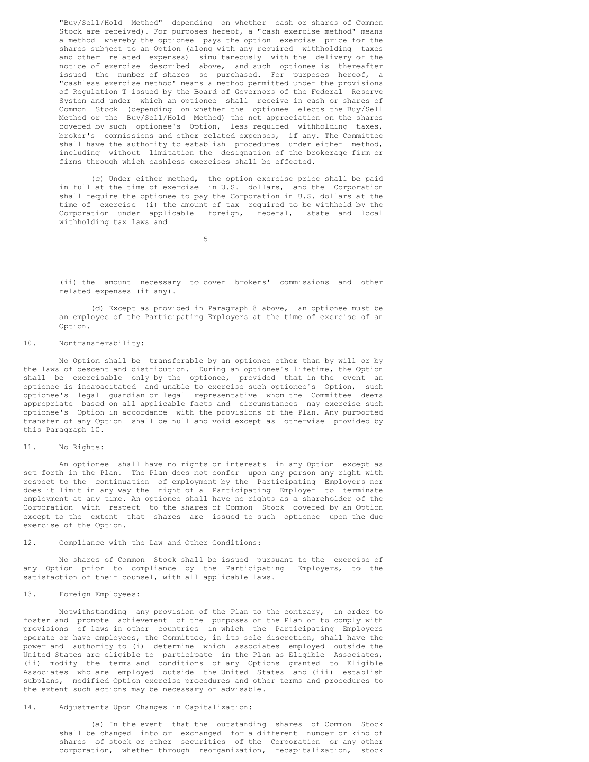"Buy/Sell/Hold Method" depending on whether cash or shares of Common Stock are received). For purposes hereof, a "cash exercise method" means a method whereby the optionee pays the option exercise price for the shares subject to an Option (along with any required withholding taxes and other related expenses) simultaneously with the delivery of the notice of exercise described above, and such optionee is thereafter issued the number of shares so purchased. For purposes hereof, a "cashless exercise method" means a method permitted under the provisions of Regulation T issued by the Board of Governors of the Federal Reserve System and under which an optionee shall receive in cash or shares of Common Stock (depending on whether the optionee elects the Buy/Sell Method or the Buy/Sell/Hold Method) the net appreciation on the shares covered by such optionee's Option, less required withholding taxes, broker's commissions and other related expenses, if any. The Committee shall have the authority to establish procedures under either method, including without limitation the designation of the brokerage firm or firms through which cashless exercises shall be effected.

(c) Under either method, the option exercise price shall be paid in full at the time of exercise in U.S. dollars, and the Corporation shall require the optionee to pay the Corporation in U.S. dollars at the time of exercise (i) the amount of tax required to be withheld by the Corporation under applicable foreign, federal, state and local withholding tax laws and

5

(ii) the amount necessary to cover brokers' commissions and other related expenses (if any).

(d) Except as provided in Paragraph 8 above, an optionee must be an employee of the Participating Employers at the time of exercise of an Option.

## 10. Nontransferability:

No Option shall be transferable by an optionee other than by will or by the laws of descent and distribution. During an optionee's lifetime, the Option shall be exercisable only by the optionee, provided that in the event an optionee is incapacitated and unable to exercise such optionee's Option, such optionee's legal guardian or legal representative whom the Committee deems appropriate based on all applicable facts and circumstances may exercise such optionee's Option in accordance with the provisions of the Plan. Any purported transfer of any Option shall be null and void except as otherwise provided by this Paragraph 10.

#### 11. No Rights:

An optionee shall have no rights or interests in any Option except as set forth in the Plan. The Plan does not confer upon any person any right with respect to the continuation of employment by the Participating Employers nor does it limit in any way the right of a Participating Employer to terminate employment at any time. An optionee shall have no rights as a shareholder of the Corporation with respect to the shares of Common Stock covered by an Option except to the extent that shares are issued to such optionee upon the due exercise of the Option.

## 12. Compliance with the Law and Other Conditions:

No shares of Common Stock shall be issued pursuant to the exercise of any Option prior to compliance by the Participating Employers, to the satisfaction of their counsel, with all applicable laws.

## 13. Foreign Employees:

Notwithstanding any provision of the Plan to the contrary, in order to foster and promote achievement of the purposes of the Plan or to comply with provisions of laws in other countries in which the Participating Employers operate or have employees, the Committee, in its sole discretion, shall have the power and authority to (i) determine which associates employed outside the United States are eligible to participate in the Plan as Eligible Associates, (ii) modify the terms and conditions of any Options granted to Eligible Associates who are employed outside the United States and (iii) establish subplans, modified Option exercise procedures and other terms and procedures to the extent such actions may be necessary or advisable.

### 14. Adjustments Upon Changes in Capitalization:

(a) In the event that the outstanding shares of Common Stock shall be changed into or exchanged for a different number or kind of shares of stock or other securities of the Corporation or any other corporation, whether through reorganization, recapitalization, stock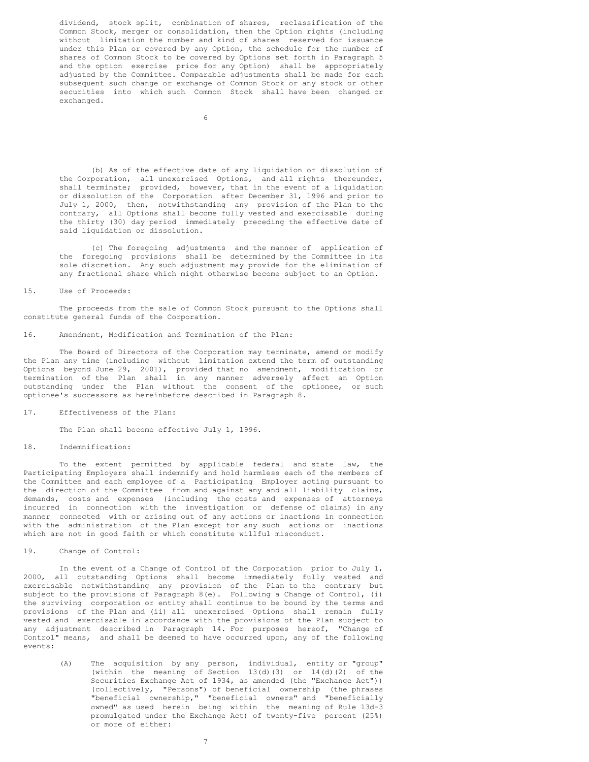dividend, stock split, combination of shares, reclassification of the Common Stock, merger or consolidation, then the Option rights (including without limitation the number and kind of shares reserved for issuance under this Plan or covered by any Option, the schedule for the number of shares of Common Stock to be covered by Options set forth in Paragraph 5 and the option exercise price for any Option) shall be appropriately adjusted by the Committee. Comparable adjustments shall be made for each subsequent such change or exchange of Common Stock or any stock or other securities into which such Common Stock shall have been changed or exchanged.

(b) As of the effective date of any liquidation or dissolution of the Corporation, all unexercised Options, and all rights thereunder, shall terminate; provided, however, that in the event of a liquidation or dissolution of the Corporation after December 31, 1996 and prior to July 1, 2000, then, notwithstanding any provision of the Plan to the contrary, all Options shall become fully vested and exercisable during the thirty (30) day period immediately preceding the effective date of said liquidation or dissolution.

(c) The foregoing adjustments and the manner of application of the foregoing provisions shall be determined by the Committee in its sole discretion. Any such adjustment may provide for the elimination of any fractional share which might otherwise become subject to an Option.

## 15. Use of Proceeds:

The proceeds from the sale of Common Stock pursuant to the Options shall constitute general funds of the Corporation.

#### 16. Amendment, Modification and Termination of the Plan:

The Board of Directors of the Corporation may terminate, amend or modify the Plan any time (including without limitation extend the term of outstanding Options beyond June 29, 2001), provided that no amendment, modification or termination of the Plan shall in any manner adversely affect an Option outstanding under the Plan without the consent of the optionee, or such optionee's successors as hereinbefore described in Paragraph 8.

### 17. Effectiveness of the Plan:

The Plan shall become effective July 1, 1996.

## 18. Indemnification:

To the extent permitted by applicable federal and state law, the Participating Employers shall indemnify and hold harmless each of the members of the Committee and each employee of a Participating Employer acting pursuant to the direction of the Committee from and against any and all liability claims, demands, costs and expenses (including the costs and expenses of attorneys incurred in connection with the investigation or defense of claims) in any manner connected with or arising out of any actions or inactions in connection with the administration of the Plan except for any such actions or inactions which are not in good faith or which constitute willful misconduct.

## 19. Change of Control:

In the event of a Change of Control of the Corporation prior to July 1, 2000, all outstanding Options shall become immediately fully vested and exercisable notwithstanding any provision of the Plan to the contrary but subject to the provisions of Paragraph 8(e). Following a Change of Control, (i) the surviving corporation or entity shall continue to be bound by the terms and provisions of the Plan and (ii) all unexercised Options shall remain fully vested and exercisable in accordance with the provisions of the Plan subject to any adjustment described in Paragraph 14. For purposes hereof, "Change of Control" means, and shall be deemed to have occurred upon, any of the following events:

> (A) The acquisition by any person, individual, entity or "group" (within the meaning of Section 13(d)(3) or 14(d)(2) of the Securities Exchange Act of 1934, as amended (the "Exchange Act")) (collectively, "Persons") of beneficial ownership (the phrases "beneficial ownership," "beneficial owners" and "beneficially owned" as used herein being within the meaning of Rule 13d-3 promulgated under the Exchange Act) of twenty-five percent (25%) or more of either: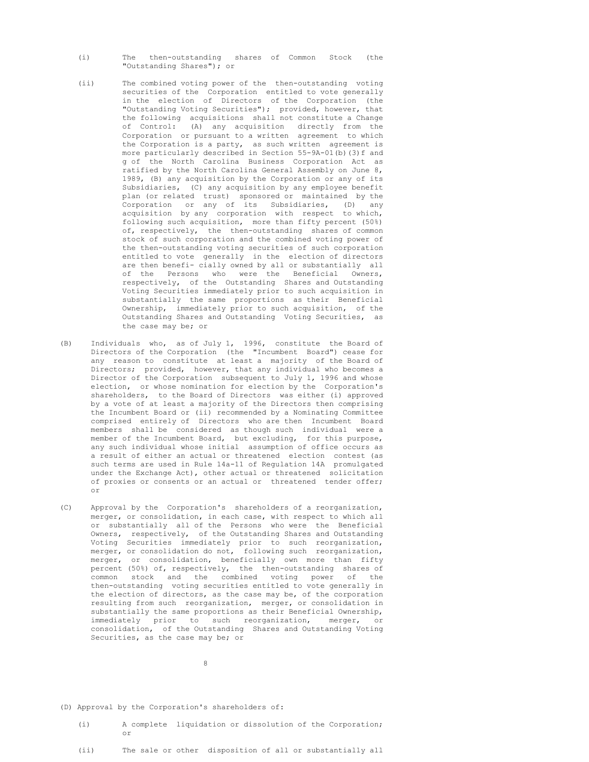- (i) The then-outstanding shares of Common Stock (the "Outstanding Shares"); or
- (ii) The combined voting power of the then-outstanding voting securities of the Corporation entitled to vote generally in the election of Directors of the Corporation (the "Outstanding Voting Securities"); provided, however, that the following acquisitions shall not constitute a Change of Control: (A) any acquisition directly from the Corporation or pursuant to a written agreement to which the Corporation is a party, as such written agreement is more particularly described in Section 55-9A-01(b)(3)f and g of the North Carolina Business Corporation Act as ratified by the North Carolina General Assembly on June 8, 1989, (B) any acquisition by the Corporation or any of its Subsidiaries, (C) any acquisition by any employee benefit plan (or related trust) sponsored or maintained by the Corporation or any of its Subsidiaries, (D) any acquisition by any corporation with respect to which, following such acquisition, more than fifty percent (50%) of, respectively, the then-outstanding shares of common stock of such corporation and the combined voting power of the then-outstanding voting securities of such corporation entitled to vote generally in the election of directors are then benefi- cially owned by all or substantially all of the Persons who were the Beneficial Owners, respectively, of the Outstanding Shares and Outstanding Voting Securities immediately prior to such acquisition in substantially the same proportions as their Beneficial Ownership, immediately prior to such acquisition, of the Outstanding Shares and Outstanding Voting Securities, as the case may be; or
- (B) Individuals who, as of July 1, 1996, constitute the Board of Directors of the Corporation (the "Incumbent Board") cease for any reason to constitute at least a majority of the Board of Directors; provided, however, that any individual who becomes a Director of the Corporation subsequent to July 1, 1996 and whose election, or whose nomination for election by the Corporation's shareholders, to the Board of Directors was either (i) approved by a vote of at least a majority of the Directors then comprising the Incumbent Board or (ii) recommended by a Nominating Committee comprised entirely of Directors who are then Incumbent Board members shall be considered as though such individual were a member of the Incumbent Board, but excluding, for this purpose, any such individual whose initial assumption of office occurs as a result of either an actual or threatened election contest (as such terms are used in Rule 14a-11 of Regulation 14A promulgated under the Exchange Act), other actual or threatened solicitation of proxies or consents or an actual or threatened tender offer; or
- (C) Approval by the Corporation's shareholders of a reorganization, merger, or consolidation, in each case, with respect to which all or substantially all of the Persons who were the Beneficial Owners, respectively, of the Outstanding Shares and Outstanding Voting Securities immediately prior to such reorganization, merger, or consolidation do not, following such reorganization, merger, or consolidation, beneficially own more than fifty percent (50%) of, respectively, the then-outstanding shares of common stock and the combined voting power of the then-outstanding voting securities entitled to vote generally in the election of directors, as the case may be, of the corporation resulting from such reorganization, merger, or consolidation in substantially the same proportions as their Beneficial Ownership, immediately prior to such reorganization, merger, or consolidation, of the Outstanding Shares and Outstanding Voting Securities, as the case may be; or

8

- (D) Approval by the Corporation's shareholders of:
	- (i) A complete liquidation or dissolution of the Corporation; or
	- (ii) The sale or other disposition of all or substantially all